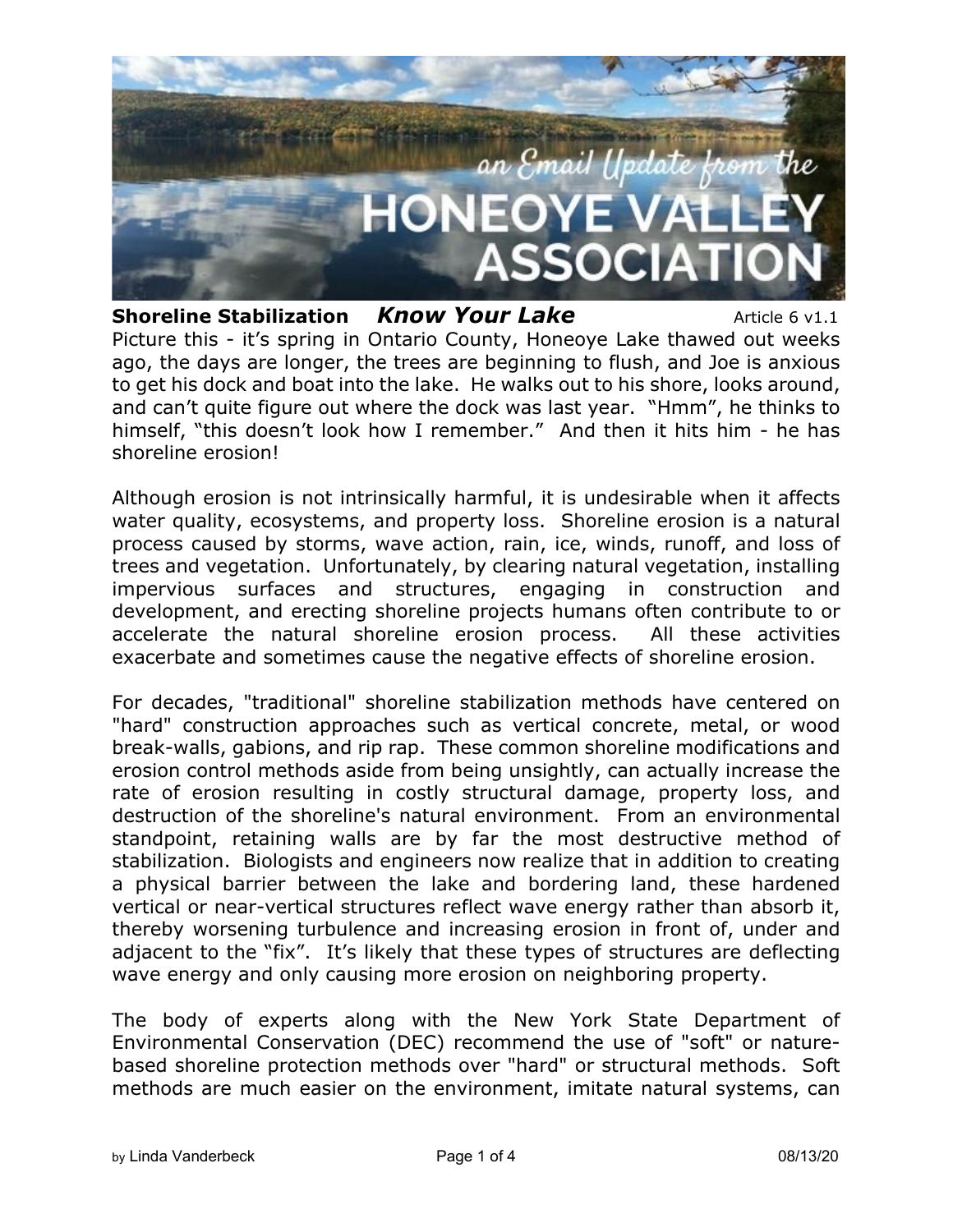

**Shoreline Stabilization** *Know Your Lake* Article 6 v1.1 Picture this - it's spring in Ontario County, Honeoye Lake thawed out weeks ago, the days are longer, the trees are beginning to flush, and Joe is anxious to get his dock and boat into the lake. He walks out to his shore, looks around, and can't quite figure out where the dock was last year. "Hmm", he thinks to himself, "this doesn't look how I remember." And then it hits him - he has shoreline erosion!

Although erosion is not intrinsically harmful, it is undesirable when it affects water quality, ecosystems, and property loss. Shoreline erosion is a natural process caused by storms, wave action, rain, ice, winds, runoff, and loss of trees and vegetation. Unfortunately, by clearing natural vegetation, installing impervious surfaces and structures, engaging in construction and development, and erecting shoreline projects humans often contribute to or accelerate the natural shoreline erosion process. All these activities exacerbate and sometimes cause the negative effects of shoreline erosion.

For decades, "traditional" shoreline stabilization methods have centered on "hard" construction approaches such as vertical concrete, metal, or wood break-walls, gabions, and rip rap. These common shoreline modifications and erosion control methods aside from being unsightly, can actually increase the rate of erosion resulting in costly structural damage, property loss, and destruction of the shoreline's natural environment. From an environmental standpoint, retaining walls are by far the most destructive method of stabilization. Biologists and engineers now realize that in addition to creating a physical barrier between the lake and bordering land, these hardened vertical or near-vertical structures reflect wave energy rather than absorb it, thereby worsening turbulence and increasing erosion in front of, under and adjacent to the "fix". It's likely that these types of structures are deflecting wave energy and only causing more erosion on neighboring property.

The body of experts along with the New York State Department of Environmental Conservation (DEC) recommend the use of "soft" or naturebased shoreline protection methods over "hard" or structural methods. Soft methods are much easier on the environment, imitate natural systems, can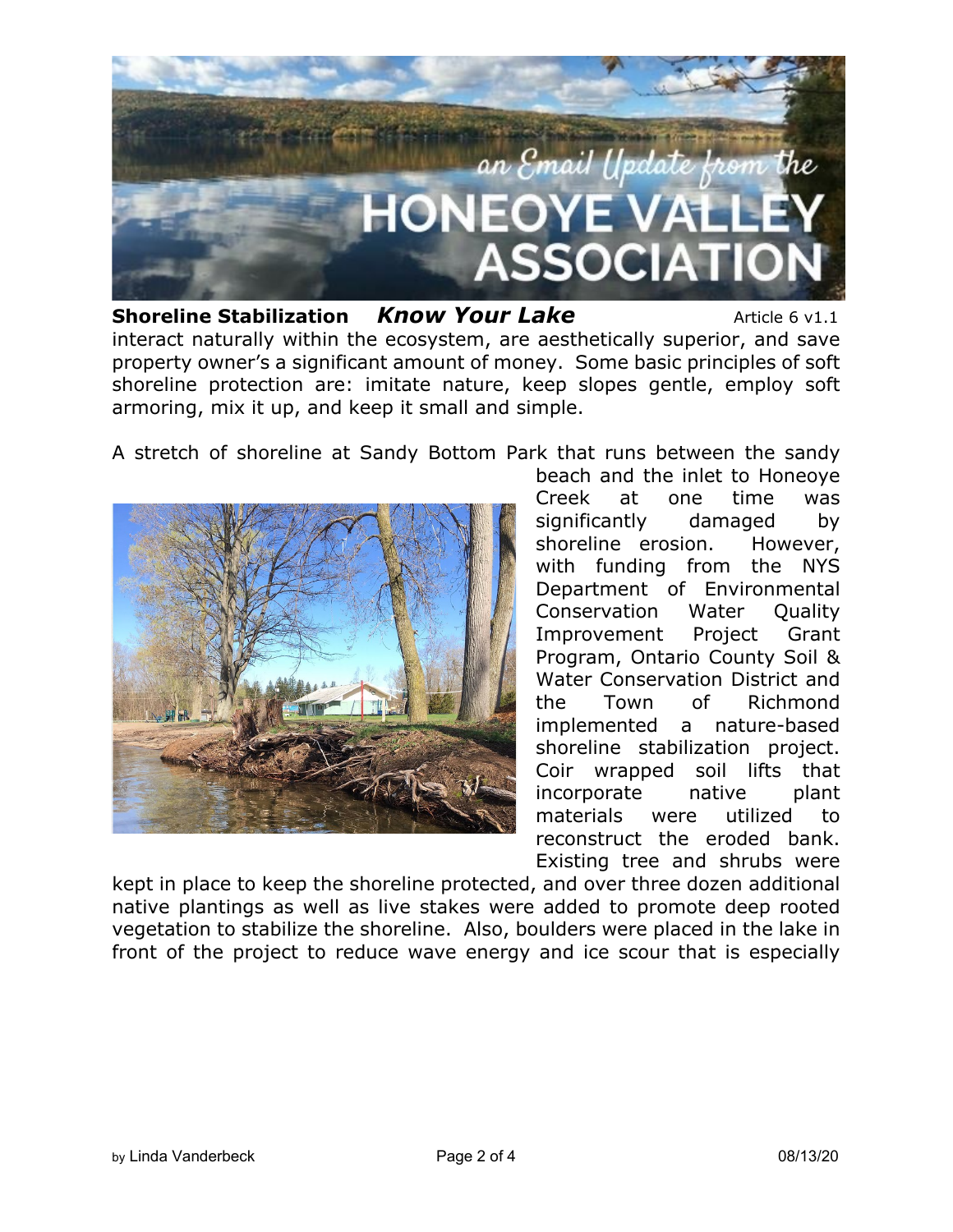

**Shoreline Stabilization** *Know Your Lake* Article 6 v1.1 interact naturally within the ecosystem, are aesthetically superior, and save property owner's a significant amount of money. Some basic principles of soft shoreline protection are: imitate nature, keep slopes gentle, employ soft armoring, mix it up, and keep it small and simple.

A stretch of shoreline at Sandy Bottom Park that runs between the sandy



beach and the inlet to Honeoye Creek at one time was significantly damaged by shoreline erosion. However, with funding from the NYS Department of Environmental Conservation Water Quality Improvement Project Grant Program, Ontario County Soil & Water Conservation District and the Town of Richmond implemented a nature-based shoreline stabilization project. Coir wrapped soil lifts that incorporate native plant materials were utilized to reconstruct the eroded bank. Existing tree and shrubs were

kept in place to keep the shoreline protected, and over three dozen additional native plantings as well as live stakes were added to promote deep rooted vegetation to stabilize the shoreline. Also, boulders were placed in the lake in front of the project to reduce wave energy and ice scour that is especially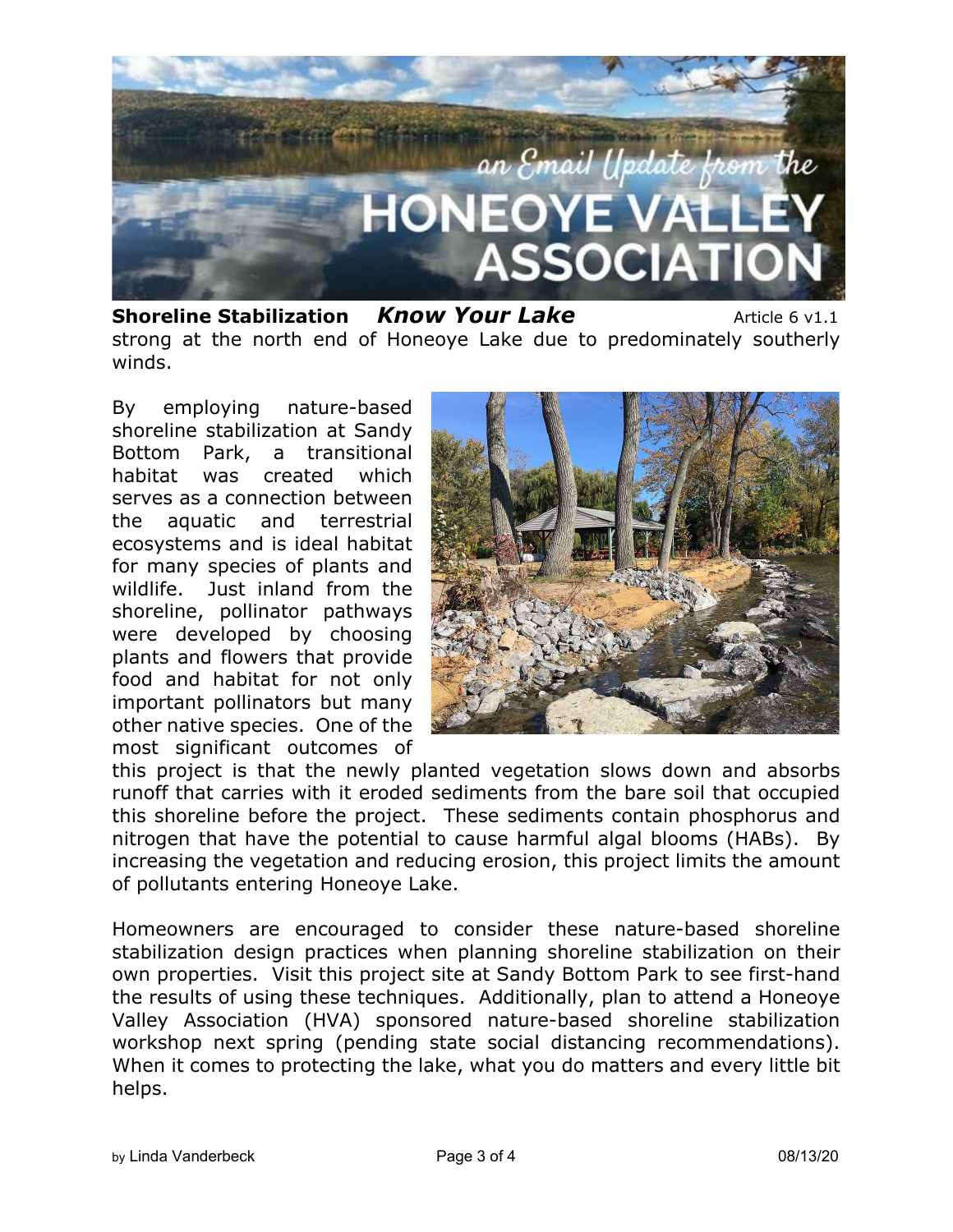

**Shoreline Stabilization** *Know Your Lake* Article 6 v1.1 strong at the north end of Honeoye Lake due to predominately southerly winds.

By employing nature-based shoreline stabilization at Sandy Bottom Park, a transitional habitat was created which serves as a connection between the aquatic and terrestrial ecosystems and is ideal habitat for many species of plants and wildlife. Just inland from the shoreline, pollinator pathways were developed by choosing plants and flowers that provide food and habitat for not only important pollinators but many other native species. One of the most significant outcomes of



this project is that the newly planted vegetation slows down and absorbs runoff that carries with it eroded sediments from the bare soil that occupied this shoreline before the project. These sediments contain phosphorus and nitrogen that have the potential to cause harmful algal blooms (HABs). By increasing the vegetation and reducing erosion, this project limits the amount of pollutants entering Honeoye Lake.

Homeowners are encouraged to consider these nature-based shoreline stabilization design practices when planning shoreline stabilization on their own properties. Visit this project site at Sandy Bottom Park to see first-hand the results of using these techniques. Additionally, plan to attend a Honeoye Valley Association (HVA) sponsored nature-based shoreline stabilization workshop next spring (pending state social distancing recommendations). When it comes to protecting the lake, what you do matters and every little bit helps.